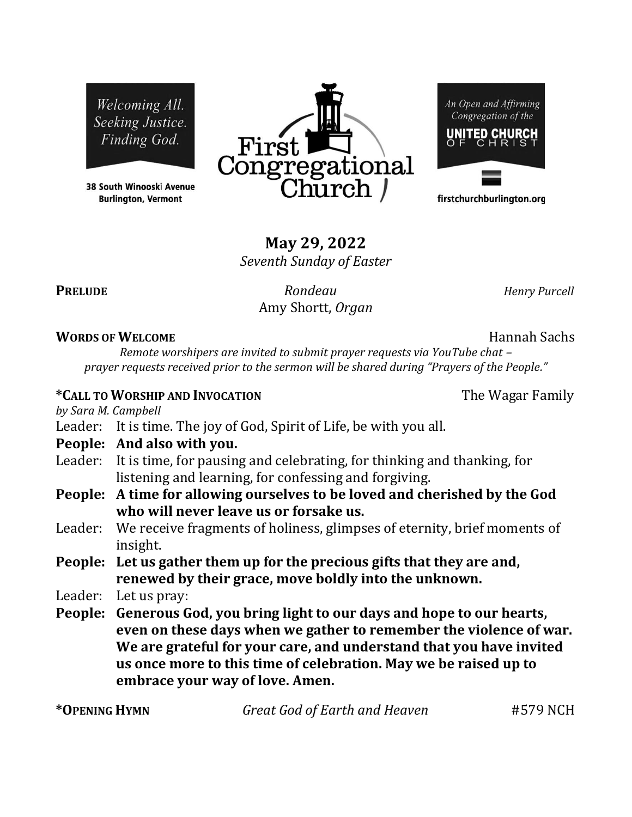Welcoming All. Seeking Justice. Finding God.

38 South Winooski Avenue **Burlington, Vermont** 





firstchurchburlington.org

# **May 29, 2022**

*Seventh Sunday of Easter*

**PRELUDE** *Rondeau Henry Purcell* Amy Shortt, *Organ*

**WORDS OF WELCOME** Hannah Sachs

*Remote worshipers are invited to submit prayer requests via YouTube chat – prayer requests received prior to the sermon will be shared during "Prayers of the People."*

## **\*CALL TO WORSHIP AND INVOCATION** The Wagar Family

*by Sara M. Campbell*

- Leader: It is time. The joy of God, Spirit of Life, be with you all.
- **People: And also with you.**
- Leader: It is time, for pausing and celebrating, for thinking and thanking, for listening and learning, for confessing and forgiving.
- **People: A time for allowing ourselves to be loved and cherished by the God who will never leave us or forsake us.**
- Leader: We receive fragments of holiness, glimpses of eternity, brief moments of insight.
- **People: Let us gather them up for the precious gifts that they are and, renewed by their grace, move boldly into the unknown.**
- Leader: Let us pray:
- **People: Generous God, you bring light to our days and hope to our hearts, even on these days when we gather to remember the violence of war. We are grateful for your care, and understand that you have invited us once more to this time of celebration. May we be raised up to embrace your way of love. Amen.**

| *Opening Hymn | Great God of Earth and Heaven | #579 NCH |
|---------------|-------------------------------|----------|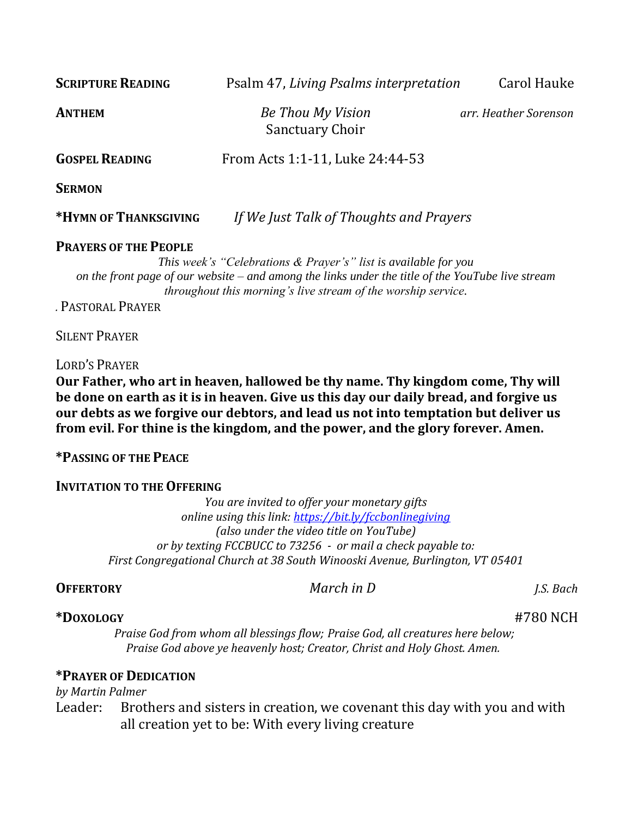| <b>SCRIPTURE READING</b>     | Psalm 47, Living Psalms interpretation                                 | Carol Hauke           |
|------------------------------|------------------------------------------------------------------------|-----------------------|
| <b>ANTHEM</b>                | <b>Be Thou My Vision</b><br>Sanctuary Choir                            | arr. Heather Sorenson |
| <b>GOSPEL READING</b>        | From Acts 1:1-11, Luke 24:44-53                                        |                       |
| <b>SERMON</b>                |                                                                        |                       |
| *HYMN OF THANKSGIVING        | If We Just Talk of Thoughts and Prayers                                |                       |
| <b>PRAYERS OF THE PEOPLE</b> | $This would be a "Calabuation" & Duanou's" list is available for you.$ |                       |

*This week's "Celebrations & Prayer's" list is available for you on the front page of our website – and among the links under the title of the YouTube live stream throughout this morning's live stream of the worship service.*

*.* PASTORAL PRAYER

## SILENT PRAYER

#### LORD'S PRAYER

**Our Father, who art in heaven, hallowed be thy name. Thy kingdom come, Thy will be done on earth as it is in heaven. Give us this day our daily bread, and forgive us our debts as we forgive our debtors, and lead us not into temptation but deliver us from evil. For thine is the kingdom, and the power, and the glory forever. Amen.**

## **\*PASSING OF THE PEACE**

#### **INVITATION TO THE OFFERING**

*You are invited to offer your monetary gifts online using this link:<https://bit.ly/fccbonlinegiving> (also under the video title on YouTube) or by texting FCCBUCC to 73256 - or mail a check payable to: First Congregational Church at 38 South Winooski Avenue, Burlington, VT 05401*

## **OFFERTORY** *March in D J.S. Bach*

## **\*DOXOLOGY** #780 NCH

*Praise God from whom all blessings flow; Praise God, all creatures here below; Praise God above ye heavenly host; Creator, Christ and Holy Ghost. Amen.*

## **\*PRAYER OF DEDICATION**

*by Martin Palmer*

Leader: Brothers and sisters in creation, we covenant this day with you and with all creation yet to be: With every living creature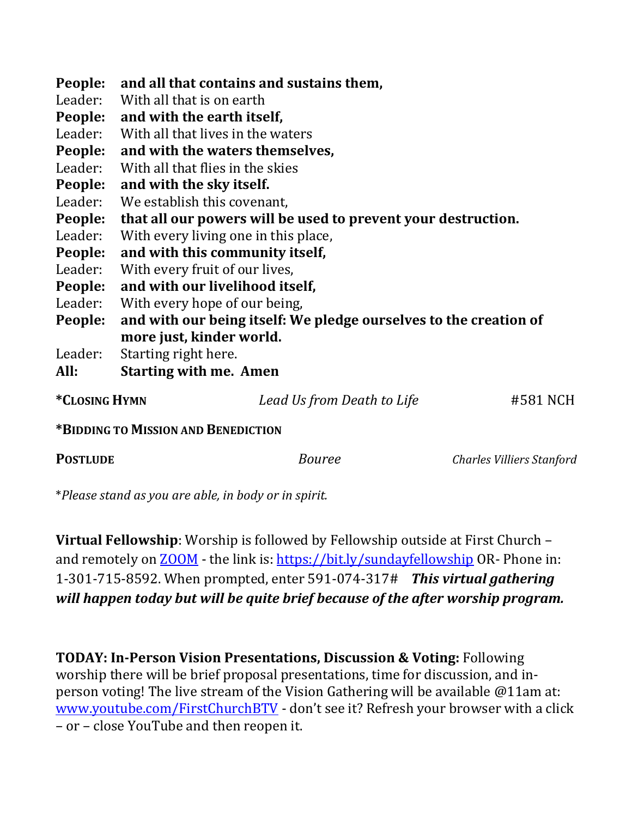| People:                             | and all that contains and sustains them,                          |                            |                                  |  |  |
|-------------------------------------|-------------------------------------------------------------------|----------------------------|----------------------------------|--|--|
| Leader:                             | With all that is on earth                                         |                            |                                  |  |  |
| People:                             | and with the earth itself,                                        |                            |                                  |  |  |
| Leader:                             | With all that lives in the waters                                 |                            |                                  |  |  |
| People:                             | and with the waters themselves,                                   |                            |                                  |  |  |
| Leader:                             | With all that flies in the skies                                  |                            |                                  |  |  |
| People:                             | and with the sky itself.                                          |                            |                                  |  |  |
|                                     | Leader: We establish this covenant,                               |                            |                                  |  |  |
| People:                             | that all our powers will be used to prevent your destruction.     |                            |                                  |  |  |
| Leader:                             | With every living one in this place,                              |                            |                                  |  |  |
| People:                             | and with this community itself,                                   |                            |                                  |  |  |
| Leader:                             | With every fruit of our lives,                                    |                            |                                  |  |  |
| People:                             | and with our livelihood itself,                                   |                            |                                  |  |  |
| Leader:                             | With every hope of our being,                                     |                            |                                  |  |  |
| People:                             | and with our being itself: We pledge ourselves to the creation of |                            |                                  |  |  |
|                                     | more just, kinder world.                                          |                            |                                  |  |  |
| Leader:                             | Starting right here.                                              |                            |                                  |  |  |
| All:                                | <b>Starting with me. Amen</b>                                     |                            |                                  |  |  |
| *CLOSING HYMN                       |                                                                   | Lead Us from Death to Life | #581 NCH                         |  |  |
| *BIDDING TO MISSION AND BENEDICTION |                                                                   |                            |                                  |  |  |
| <b>POSTLUDE</b>                     |                                                                   | <b>Bouree</b>              | <b>Charles Villiers Stanford</b> |  |  |

\**Please stand as you are able, in body or in spirit.*

**Virtual Fellowship**: Worship is followed by Fellowship outside at First Church – and remotely on **ZOOM** - the link is:<https://bit.ly/sundayfellowship> OR- Phone in: 1-301-715-8592. When prompted, enter 591-074-317# *This virtual gathering will happen today but will be quite brief because of the after worship program.*

**TODAY: In-Person Vision Presentations, Discussion & Voting:** Following worship there will be brief proposal presentations, time for discussion, and inperson voting! The live stream of the Vision Gathering will be available @11am at: [www.youtube.com/FirstChurchBTV](http://www.youtube.com/FirstChurchBTV) - don't see it? Refresh your browser with a click – or – close YouTube and then reopen it.